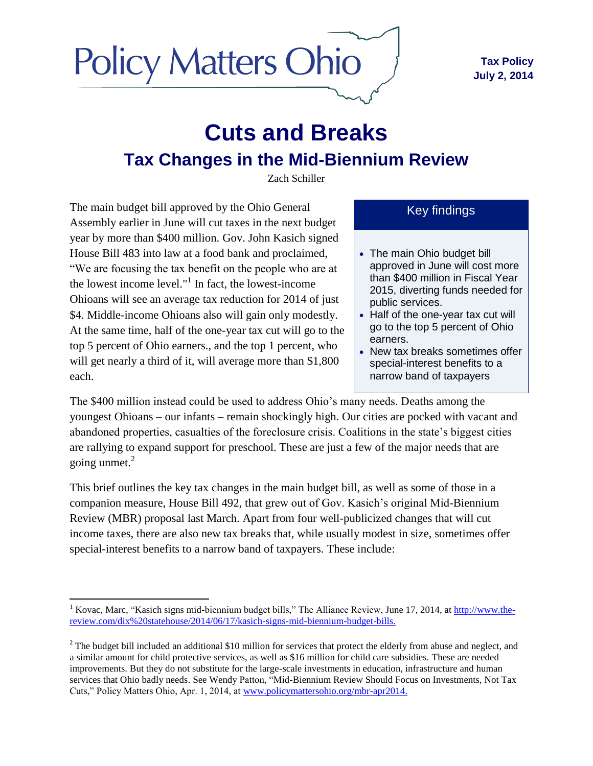

# **Cuts and Breaks Tax Changes in the Mid-Biennium Review**

Zach Schiller

The main budget bill approved by the Ohio General Assembly earlier in June will cut taxes in the next budget year by more than \$400 million. Gov. John Kasich signed House Bill 483 into law at a food bank and proclaimed, "We are focusing the tax benefit on the people who are at the lowest income level." 1 In fact, the lowest-income Ohioans will see an average tax reduction for 2014 of just \$4. Middle-income Ohioans also will gain only modestly. At the same time, half of the one-year tax cut will go to the top 5 percent of Ohio earners., and the top 1 percent, who will get nearly a third of it, will average more than \$1,800 each.

Key findings

- The main Ohio budget bill approved in June will cost more than \$400 million in Fiscal Year 2015, diverting funds needed for public services.
- Half of the one-year tax cut will go to the top 5 percent of Ohio earners.
- New tax breaks sometimes offer special-interest benefits to a narrow band of taxpayers

The \$400 million instead could be used to address Ohio's many needs. Deaths among the youngest Ohioans – our infants – remain shockingly high. Our cities are pocked with vacant and abandoned properties, casualties of the foreclosure crisis. Coalitions in the state's biggest cities are rallying to expand support for preschool. These are just a few of the major needs that are going unmet. 2

This brief outlines the key tax changes in the main budget bill, as well as some of those in a companion measure, House Bill 492, that grew out of Gov. Kasich's original Mid-Biennium Review (MBR) proposal last March. Apart from four well-publicized changes that will cut income taxes, there are also new tax breaks that, while usually modest in size, sometimes offer special-interest benefits to a narrow band of taxpayers. These include:

 $\overline{\phantom{a}}$ <sup>1</sup> Kovac, Marc, "Kasich signs mid-biennium budget bills," The Alliance Review, June 17, 2014, at [http://www.the](http://www.the-review.com/dix%20statehouse/2014/06/17/kasich-signs-mid-biennium-budget-bills)[review.com/dix%20statehouse/2014/06/17/kasich-signs-mid-biennium-budget-bills.](http://www.the-review.com/dix%20statehouse/2014/06/17/kasich-signs-mid-biennium-budget-bills)

 $2^2$  The budget bill included an additional \$10 million for services that protect the elderly from abuse and neglect, and a similar amount for child protective services, as well as \$16 million for child care subsidies. These are needed improvements. But they do not substitute for the large-scale investments in education, infrastructure and human services that Ohio badly needs. See Wendy Patton, "Mid-Biennium Review Should Focus on Investments, Not Tax Cuts," Policy Matters Ohio, Apr. 1, 2014, at [www.policymattersohio.org/mbr-apr2014.](http://www.policymattersohio.org/mbr-apr2014)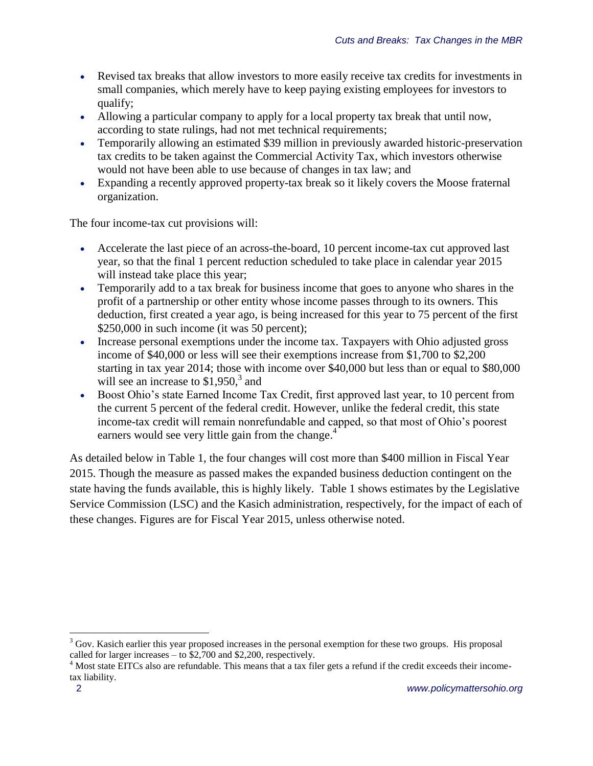- Revised tax breaks that allow investors to more easily receive tax credits for investments in small companies, which merely have to keep paying existing employees for investors to qualify;
- Allowing a particular company to apply for a local property tax break that until now, according to state rulings, had not met technical requirements;
- Temporarily allowing an estimated \$39 million in previously awarded historic-preservation tax credits to be taken against the Commercial Activity Tax, which investors otherwise would not have been able to use because of changes in tax law; and
- Expanding a recently approved property-tax break so it likely covers the Moose fraternal organization.

The four income-tax cut provisions will:

- Accelerate the last piece of an across-the-board, 10 percent income-tax cut approved last year, so that the final 1 percent reduction scheduled to take place in calendar year 2015 will instead take place this year;
- Temporarily add to a tax break for business income that goes to anyone who shares in the profit of a partnership or other entity whose income passes through to its owners. This deduction, first created a year ago, is being increased for this year to 75 percent of the first \$250,000 in such income (it was 50 percent);
- Increase personal exemptions under the income tax. Taxpayers with Ohio adjusted gross income of \$40,000 or less will see their exemptions increase from \$1,700 to \$2,200 starting in tax year 2014; those with income over \$40,000 but less than or equal to \$80,000 will see an increase to  $$1,950$ ,<sup>3</sup> and
- Boost Ohio's state Earned Income Tax Credit, first approved last year, to 10 percent from the current 5 percent of the federal credit. However, unlike the federal credit, this state income-tax credit will remain nonrefundable and capped, so that most of Ohio's poorest earners would see very little gain from the change.<sup>4</sup>

As detailed below in Table 1, the four changes will cost more than \$400 million in Fiscal Year 2015. Though the measure as passed makes the expanded business deduction contingent on the state having the funds available, this is highly likely. Table 1 shows estimates by the Legislative Service Commission (LSC) and the Kasich administration, respectively, for the impact of each of these changes. Figures are for Fiscal Year 2015, unless otherwise noted.

 $3$  Gov. Kasich earlier this year proposed increases in the personal exemption for these two groups. His proposal called for larger increases – to \$2,700 and \$2,200, respectively.

<sup>&</sup>lt;sup>4</sup> Most state EITCs also are refundable. This means that a tax filer gets a refund if the credit exceeds their incometax liability.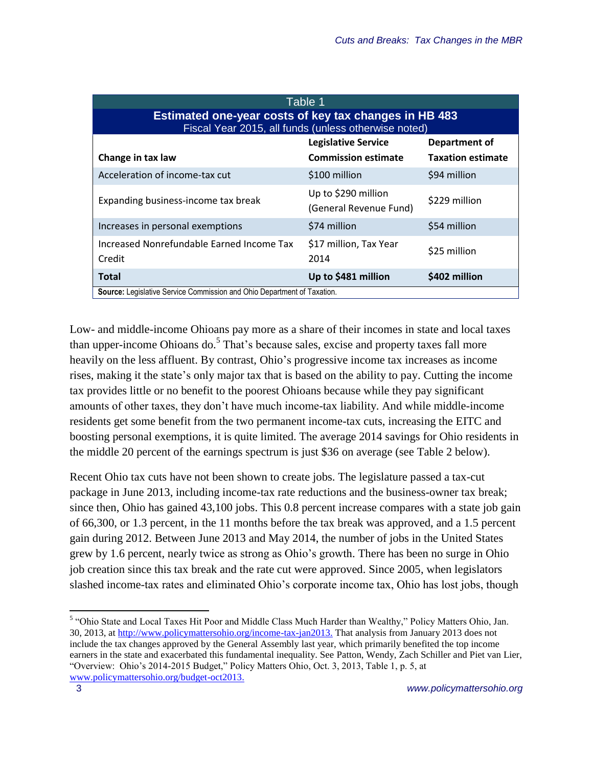| Table <sub>1</sub>                                                                                            |                                               |                          |  |  |  |  |  |  |
|---------------------------------------------------------------------------------------------------------------|-----------------------------------------------|--------------------------|--|--|--|--|--|--|
| Estimated one-year costs of key tax changes in HB 483<br>Fiscal Year 2015, all funds (unless otherwise noted) |                                               |                          |  |  |  |  |  |  |
|                                                                                                               | <b>Legislative Service</b>                    | Department of            |  |  |  |  |  |  |
| Change in tax law                                                                                             | <b>Commission estimate</b>                    | <b>Taxation estimate</b> |  |  |  |  |  |  |
| Acceleration of income-tax cut                                                                                | \$100 million                                 | \$94 million             |  |  |  |  |  |  |
| Expanding business-income tax break                                                                           | Up to \$290 million<br>(General Revenue Fund) | \$229 million            |  |  |  |  |  |  |
| Increases in personal exemptions                                                                              | \$74 million                                  | \$54 million             |  |  |  |  |  |  |
| Increased Nonrefundable Earned Income Tax<br>Credit                                                           | \$17 million, Tax Year<br>2014                | \$25 million             |  |  |  |  |  |  |
| <b>Total</b>                                                                                                  | Up to \$481 million                           | \$402 million            |  |  |  |  |  |  |
| <b>Source:</b> Legislative Service Commission and Ohio Department of Taxation.                                |                                               |                          |  |  |  |  |  |  |

Low- and middle-income Ohioans pay more as a share of their incomes in state and local taxes than upper-income Ohioans do.<sup>5</sup> That's because sales, excise and property taxes fall more heavily on the less affluent. By contrast, Ohio's progressive income tax increases as income rises, making it the state's only major tax that is based on the ability to pay. Cutting the income tax provides little or no benefit to the poorest Ohioans because while they pay significant amounts of other taxes, they don't have much income-tax liability. And while middle-income residents get some benefit from the two permanent income-tax cuts, increasing the EITC and boosting personal exemptions, it is quite limited. The average 2014 savings for Ohio residents in the middle 20 percent of the earnings spectrum is just \$36 on average (see Table 2 below).

Recent Ohio tax cuts have not been shown to create jobs. The legislature passed a tax-cut package in June 2013, including income-tax rate reductions and the business-owner tax break; since then, Ohio has gained 43,100 jobs. This 0.8 percent increase compares with a state job gain of 66,300, or 1.3 percent, in the 11 months before the tax break was approved, and a 1.5 percent gain during 2012. Between June 2013 and May 2014, the number of jobs in the United States grew by 1.6 percent, nearly twice as strong as Ohio's growth. There has been no surge in Ohio job creation since this tax break and the rate cut were approved. Since 2005, when legislators slashed income-tax rates and eliminated Ohio's corporate income tax, Ohio has lost jobs, though

 5 "Ohio State and Local Taxes Hit Poor and Middle Class Much Harder than Wealthy," Policy Matters Ohio, Jan. 30, 2013, a[t http://www.policymattersohio.org/income-tax-jan2013.](http://www.policymattersohio.org/income-tax-jan2013.) That analysis from January 2013 does not include the tax changes approved by the General Assembly last year, which primarily benefited the top income earners in the state and exacerbated this fundamental inequality. See Patton, Wendy, Zach Schiller and Piet van Lier, "Overview: Ohio's 2014-2015 Budget," Policy Matters Ohio, Oct. 3, 2013, Table 1, p. 5, at [www.policymattersohio.org/budget-oct2013.](http://www.policymattersohio.org/budget-oct2013)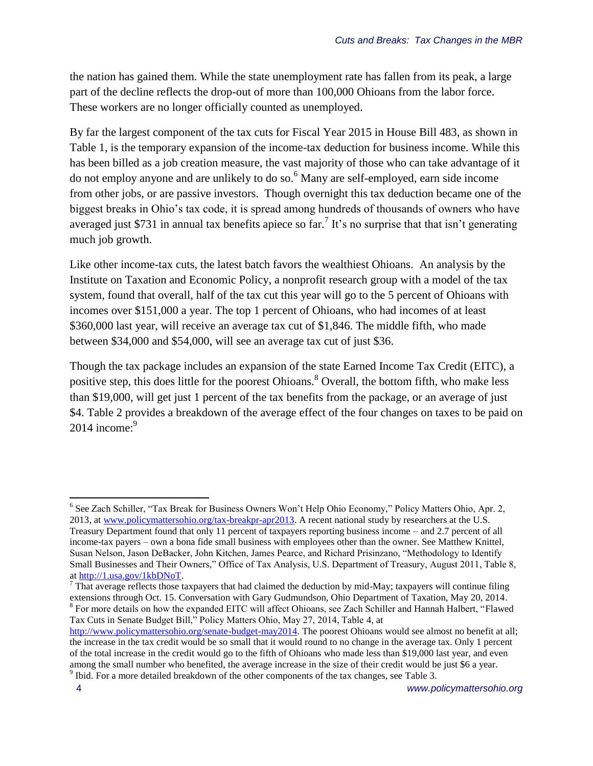the nation has gained them. While the state unemployment rate has fallen from its peak, a large part of the decline reflects the drop-out of more than 100,000 Ohioans from the labor force. These workers are no longer officially counted as unemployed.

By far the largest component of the tax cuts for Fiscal Year 2015 in House Bill 483, as shown in Table 1, is the temporary expansion of the income-tax deduction for business income. While this has been billed as a job creation measure, the vast majority of those who can take advantage of it do not employ anyone and are unlikely to do so.<sup>6</sup> Many are self-employed, earn side income from other jobs, or are passive investors. Though overnight this tax deduction became one of the biggest breaks in Ohio's tax code, it is spread among hundreds of thousands of owners who have averaged just \$731 in annual tax benefits apiece so far.<sup>7</sup> It's no surprise that that isn't generating much job growth.

Like other income-tax cuts, the latest batch favors the wealthiest Ohioans. An analysis by the Institute on Taxation and Economic Policy, a nonprofit research group with a model of the tax system, found that overall, half of the tax cut this year will go to the 5 percent of Ohioans with incomes over \$151,000 a year. The top 1 percent of Ohioans, who had incomes of at least \$360,000 last year, will receive an average tax cut of \$1,846. The middle fifth, who made between \$34,000 and \$54,000, will see an average tax cut of just \$36.

Though the tax package includes an expansion of the state Earned Income Tax Credit (EITC), a positive step, this does little for the poorest Ohioans.<sup>8</sup> Overall, the bottom fifth, who make less than \$19,000, will get just 1 percent of the tax benefits from the package, or an average of just \$4. Table 2 provides a breakdown of the average effect of the four changes on taxes to be paid on 2014 income: $9$ 

l

<sup>&</sup>lt;sup>6</sup> See Zach Schiller, "Tax Break for Business Owners Won't Help Ohio Economy," Policy Matters Ohio, Apr. 2, 2013, a[t www.policymattersohio.org/tax-breakpr-apr2013.](http://www.policymattersohio.org/tax-breakpr-apr2013) A recent national study by researchers at the U.S. Treasury Department found that only 11 percent of taxpayers reporting business income – and 2.7 percent of all income-tax payers – own a bona fide small business with employees other than the owner. See Matthew Knittel, Susan Nelson, Jason DeBacker, John Kitchen, James Pearce, and Richard Prisinzano, "Methodology to Identify Small Businesses and Their Owners," Office of Tax Analysis, U.S. Department of Treasury, August 2011, Table 8,

a[t http://1.usa.gov/1kbDNoT.](http://1.usa.gov/1kbDNoT)

 $<sup>7</sup>$  That average reflects those taxpayers that had claimed the deduction by mid-May; taxpayers will continue filing</sup> extensions through Oct. 15. Conversation with Gary Gudmundson, Ohio Department of Taxation, May 20, 2014. <sup>8</sup> For more details on how the expanded EITC will affect Ohioans, see Zach Schiller and Hannah Halbert, "Flawed Tax Cuts in Senate Budget Bill," Policy Matters Ohio, May 27, 2014, Table 4, at

[http://www.policymattersohio.org/senate-budget-may2014.](http://www.policymattersohio.org/senate-budget-may2014) The poorest Ohioans would see almost no benefit at all; the increase in the tax credit would be so small that it would round to no change in the average tax. Only 1 percent of the total increase in the credit would go to the fifth of Ohioans who made less than \$19,000 last year, and even among the small number who benefited, the average increase in the size of their credit would be just \$6 a year.  $9$  Ibid. For a more detailed breakdown of the other components of the tax changes, see Table 3.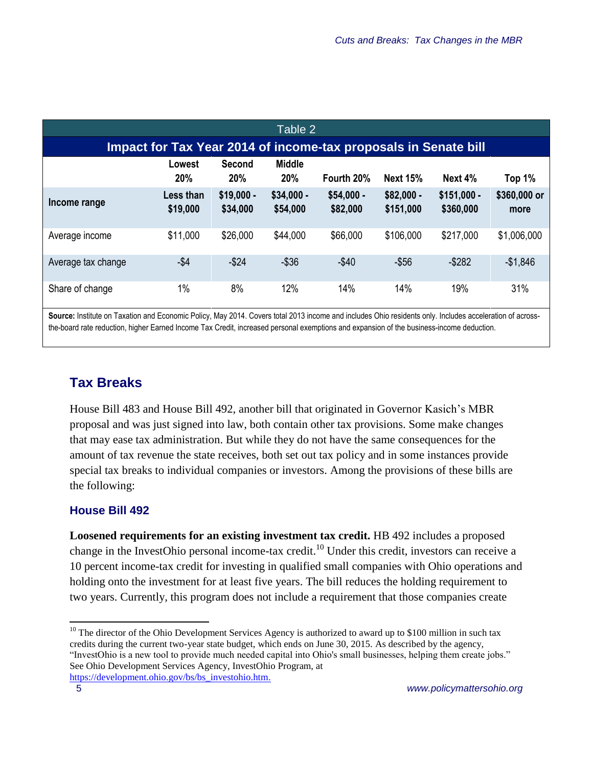| Table 2                                                         |                       |                         |                         |                         |                          |                           |                      |  |
|-----------------------------------------------------------------|-----------------------|-------------------------|-------------------------|-------------------------|--------------------------|---------------------------|----------------------|--|
| Impact for Tax Year 2014 of income-tax proposals in Senate bill |                       |                         |                         |                         |                          |                           |                      |  |
|                                                                 | Lowest<br><b>20%</b>  | Second<br>20%           | <b>Middle</b><br>20%    | Fourth 20%              | <b>Next 15%</b>          | Next $4%$                 | Top 1%               |  |
| Income range                                                    | Less than<br>\$19,000 | $$19,000 -$<br>\$34,000 | $$34,000 -$<br>\$54,000 | $$54,000 -$<br>\$82,000 | $$82,000 -$<br>\$151,000 | $$151,000 -$<br>\$360,000 | \$360,000 or<br>more |  |
| Average income                                                  | \$11,000              | \$26,000                | \$44,000                | \$66,000                | \$106,000                | \$217,000                 | \$1,006,000          |  |
| Average tax change                                              | $-$ \$4               | $-$ \$24                | $-$36$                  | $-$40$                  | $-$56$                   | $-$ \$282                 | $-$1,846$            |  |
| Share of change                                                 | 1%                    | 8%                      | 12%                     | 14%                     | 14%                      | 19%                       | 31%                  |  |

**Source:** Institute on Taxation and Economic Policy, May 2014. Covers total 2013 income and includes Ohio residents only. Includes acceleration of acrossthe-board rate reduction, higher Earned Income Tax Credit, increased personal exemptions and expansion of the business-income deduction.

## **Tax Breaks**

House Bill 483 and House Bill 492, another bill that originated in Governor Kasich's MBR proposal and was just signed into law, both contain other tax provisions. Some make changes that may ease tax administration. But while they do not have the same consequences for the amount of tax revenue the state receives, both set out tax policy and in some instances provide special tax breaks to individual companies or investors. Among the provisions of these bills are the following:

#### **House Bill 492**

**Loosened requirements for an existing investment tax credit.** HB 492 includes a proposed change in the InvestOhio personal income-tax credit.<sup>10</sup> Under this credit, investors can receive a 10 percent income-tax credit for investing in qualified small companies with Ohio operations and holding onto the investment for at least five years. The bill reduces the holding requirement to two years. Currently, this program does not include a requirement that those companies create

 $\overline{\phantom{a}}$  $10$  The director of the Ohio Development Services Agency is authorized to award up to \$100 million in such tax credits during the current two-year state budget, which ends on June 30, 2015. As described by the agency, "InvestOhio is a new tool to provide much needed capital into Ohio's small businesses, helping them create jobs." See Ohio Development Services Agency, InvestOhio Program, at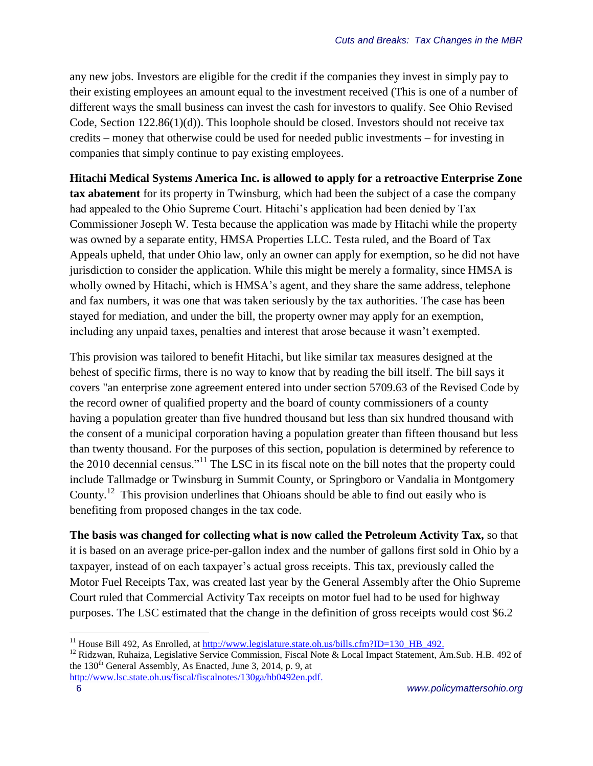any new jobs. Investors are eligible for the credit if the companies they invest in simply pay to their existing employees an amount equal to the investment received (This is one of a number of different ways the small business can invest the cash for investors to qualify. See Ohio Revised Code, Section 122.86(1)(d)). This loophole should be closed. Investors should not receive tax credits – money that otherwise could be used for needed public investments – for investing in companies that simply continue to pay existing employees.

**Hitachi Medical Systems America Inc. is allowed to apply for a retroactive Enterprise Zone tax abatement** for its property in Twinsburg, which had been the subject of a case the company had appealed to the Ohio Supreme Court. Hitachi's application had been denied by Tax Commissioner Joseph W. Testa because the application was made by Hitachi while the property was owned by a separate entity, HMSA Properties LLC. Testa ruled, and the Board of Tax Appeals upheld, that under Ohio law, only an owner can apply for exemption, so he did not have jurisdiction to consider the application. While this might be merely a formality, since HMSA is wholly owned by Hitachi, which is HMSA's agent, and they share the same address, telephone and fax numbers, it was one that was taken seriously by the tax authorities. The case has been stayed for mediation, and under the bill, the property owner may apply for an exemption, including any unpaid taxes, penalties and interest that arose because it wasn't exempted.

This provision was tailored to benefit Hitachi, but like similar tax measures designed at the behest of specific firms, there is no way to know that by reading the bill itself. The bill says it covers "an enterprise zone agreement entered into under section 5709.63 of the Revised Code by the record owner of qualified property and the board of county commissioners of a county having a population greater than five hundred thousand but less than six hundred thousand with the consent of a municipal corporation having a population greater than fifteen thousand but less than twenty thousand. For the purposes of this section, population is determined by reference to the 2010 decennial census."<sup>11</sup> The LSC in its fiscal note on the bill notes that the property could include Tallmadge or Twinsburg in Summit County, or Springboro or Vandalia in Montgomery County.<sup>12</sup> This provision underlines that Ohioans should be able to find out easily who is benefiting from proposed changes in the tax code.

**The basis was changed for collecting what is now called the Petroleum Activity Tax,** so that it is based on an average price-per-gallon index and the number of gallons first sold in Ohio by a taxpayer, instead of on each taxpayer's actual gross receipts. This tax, previously called the Motor Fuel Receipts Tax, was created last year by the General Assembly after the Ohio Supreme Court ruled that Commercial Activity Tax receipts on motor fuel had to be used for highway purposes. The LSC estimated that the change in the definition of gross receipts would cost \$6.2

<sup>&</sup>lt;sup>11</sup> House Bill 492, As Enrolled, at http://www.legislature.state.oh.us/bills.cfm?ID=130 HB 492.

<sup>&</sup>lt;sup>12</sup> Ridzwan, Ruhaiza, Legislative Service Commission, Fiscal Note & Local Impact Statement, Am.Sub. H.B. 492 of the  $130<sup>th</sup>$  General Assembly, As Enacted, June 3, 2014, p. 9, at [http://www.lsc.state.oh.us/fiscal/fiscalnotes/130ga/hb0492en.pdf.](http://www.lsc.state.oh.us/fiscal/fiscalnotes/130ga/hb0492en.pdf)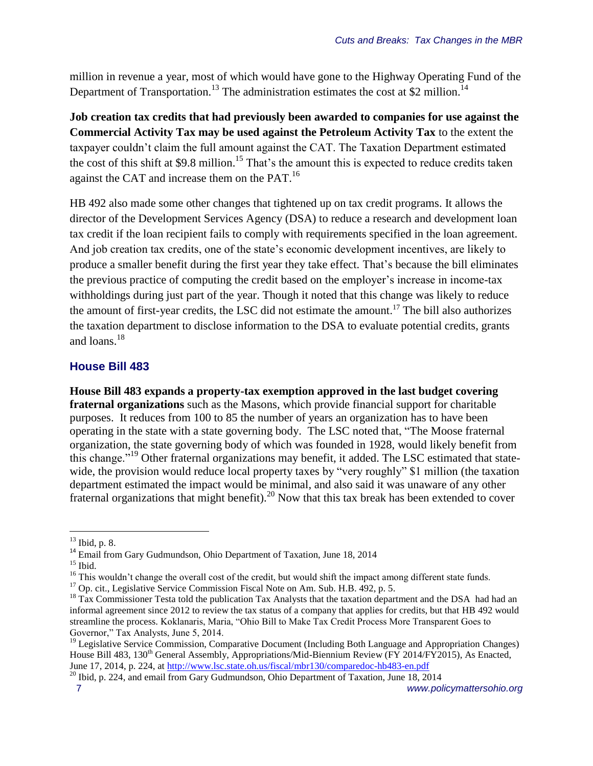million in revenue a year, most of which would have gone to the Highway Operating Fund of the Department of Transportation.<sup>13</sup> The administration estimates the cost at \$2 million.<sup>14</sup>

**Job creation tax credits that had previously been awarded to companies for use against the Commercial Activity Tax may be used against the Petroleum Activity Tax** to the extent the taxpayer couldn't claim the full amount against the CAT. The Taxation Department estimated the cost of this shift at \$9.8 million.<sup>15</sup> That's the amount this is expected to reduce credits taken against the CAT and increase them on the PAT.<sup>16</sup>

HB 492 also made some other changes that tightened up on tax credit programs. It allows the director of the Development Services Agency (DSA) to reduce a research and development loan tax credit if the loan recipient fails to comply with requirements specified in the loan agreement. And job creation tax credits, one of the state's economic development incentives, are likely to produce a smaller benefit during the first year they take effect. That's because the bill eliminates the previous practice of computing the credit based on the employer's increase in income-tax withholdings during just part of the year. Though it noted that this change was likely to reduce the amount of first-year credits, the LSC did not estimate the amount. <sup>17</sup> The bill also authorizes the taxation department to disclose information to the DSA to evaluate potential credits, grants and loans.<sup>18</sup>

#### **House Bill 483**

**House Bill 483 expands a property-tax exemption approved in the last budget covering fraternal organizations** such as the Masons, which provide financial support for charitable purposes. It reduces from 100 to 85 the number of years an organization has to have been operating in the state with a state governing body. The LSC noted that, "The Moose fraternal organization, the state governing body of which was founded in 1928, would likely benefit from this change."<sup>19</sup> Other fraternal organizations may benefit, it added. The LSC estimated that statewide, the provision would reduce local property taxes by "very roughly" \$1 million (the taxation department estimated the impact would be minimal, and also said it was unaware of any other fraternal organizations that might benefit). <sup>20</sup> Now that this tax break has been extended to cover

 $\overline{a}$ 

 $13$  Ibid, p. 8.

<sup>&</sup>lt;sup>14</sup> Email from Gary Gudmundson, Ohio Department of Taxation, June 18, 2014

 $15$  Ibid.

 $16$  This wouldn't change the overall cost of the credit, but would shift the impact among different state funds.

<sup>&</sup>lt;sup>17</sup> Op. cit., Legislative Service Commission Fiscal Note on Am. Sub. H.B. 492, p. 5.

<sup>&</sup>lt;sup>18</sup> Tax Commissioner Testa told the publication Tax Analysts that the taxation department and the DSA had had an informal agreement since 2012 to review the tax status of a company that applies for credits, but that HB 492 would streamline the process. Koklanaris, Maria, "Ohio Bill to Make Tax Credit Process More Transparent Goes to Governor," Tax Analysts, June 5, 2014.

<sup>&</sup>lt;sup>19</sup> Legislative Service Commission, Comparative Document (Including Both Language and Appropriation Changes) House Bill 483, 130<sup>th</sup> General Assembly, Appropriations/Mid-Biennium Review (FY 2014/FY2015), As Enacted, June 17, 2014, p. 224, a[t http://www.lsc.state.oh.us/fiscal/mbr130/comparedoc-hb483-en.pdf](http://www.lsc.state.oh.us/fiscal/mbr130/comparedoc-hb483-en.pdf) 

<sup>&</sup>lt;sup>20</sup> Ibid, p. 224, and email from Gary Gudmundson, Ohio Department of Taxation, June 18, 2014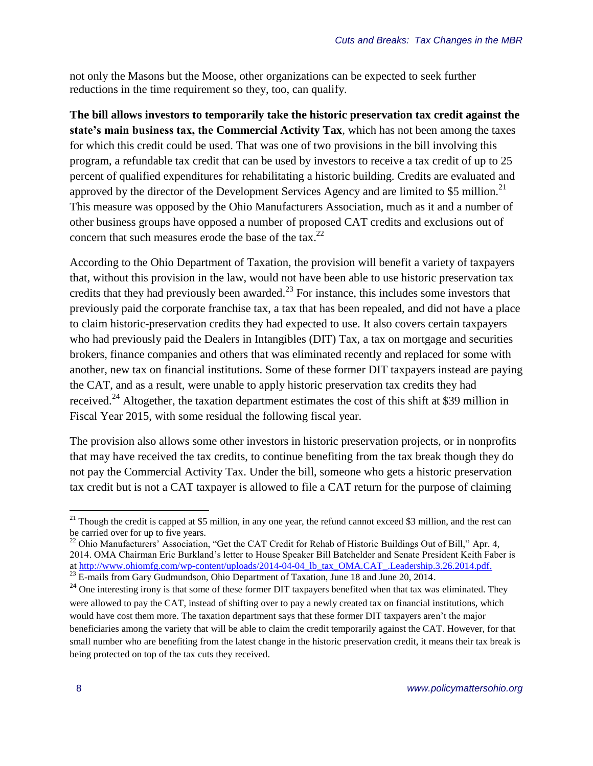not only the Masons but the Moose, other organizations can be expected to seek further reductions in the time requirement so they, too, can qualify.

**The bill allows investors to temporarily take the historic preservation tax credit against the state's main business tax, the Commercial Activity Tax**, which has not been among the taxes for which this credit could be used. That was one of two provisions in the bill involving this program, a refundable tax credit that can be used by investors to receive a tax credit of up to 25 percent of qualified expenditures for rehabilitating a historic building. Credits are evaluated and approved by the director of the Development Services Agency and are limited to \$5 million.<sup>21</sup> This measure was opposed by the Ohio Manufacturers Association, much as it and a number of other business groups have opposed a number of proposed CAT credits and exclusions out of concern that such measures erode the base of the tax.<sup>22</sup>

According to the Ohio Department of Taxation, the provision will benefit a variety of taxpayers that, without this provision in the law, would not have been able to use historic preservation tax credits that they had previously been awarded.<sup>23</sup> For instance, this includes some investors that previously paid the corporate franchise tax, a tax that has been repealed, and did not have a place to claim historic-preservation credits they had expected to use. It also covers certain taxpayers who had previously paid the Dealers in Intangibles (DIT) Tax, a tax on mortgage and securities brokers, finance companies and others that was eliminated recently and replaced for some with another, new tax on financial institutions. Some of these former DIT taxpayers instead are paying the CAT, and as a result, were unable to apply historic preservation tax credits they had received.<sup>24</sup> Altogether, the taxation department estimates the cost of this shift at \$39 million in Fiscal Year 2015, with some residual the following fiscal year.

The provision also allows some other investors in historic preservation projects, or in nonprofits that may have received the tax credits, to continue benefiting from the tax break though they do not pay the Commercial Activity Tax. Under the bill, someone who gets a historic preservation tax credit but is not a CAT taxpayer is allowed to file a CAT return for the purpose of claiming

<sup>&</sup>lt;sup>21</sup> Though the credit is capped at \$5 million, in any one year, the refund cannot exceed \$3 million, and the rest can be carried over for up to five years.

<sup>&</sup>lt;sup>22</sup> Ohio Manufacturers' Association, "Get the CAT Credit for Rehab of Historic Buildings Out of Bill," Apr. 4, 2014. OMA Chairman Eric Burkland's letter to House Speaker Bill Batchelder and Senate President Keith Faber is a[t http://www.ohiomfg.com/wp-content/uploads/2014-04-04\\_lb\\_tax\\_OMA.CAT\\_.Leadership.3.26.2014.pdf.](http://www.ohiomfg.com/wp-content/uploads/2014-04-04_lb_tax_OMA.CAT_.Leadership.3.26.2014.pdf)

 $^{23}$  E-mails from Gary Gudmundson, Ohio Department of Taxation, June 18 and June 20, 2014.

<sup>&</sup>lt;sup>24</sup> One interesting irony is that some of these former DIT taxpayers benefited when that tax was eliminated. They were allowed to pay the CAT, instead of shifting over to pay a newly created tax on financial institutions, which would have cost them more. The taxation department says that these former DIT taxpayers aren't the major beneficiaries among the variety that will be able to claim the credit temporarily against the CAT. However, for that small number who are benefiting from the latest change in the historic preservation credit, it means their tax break is being protected on top of the tax cuts they received.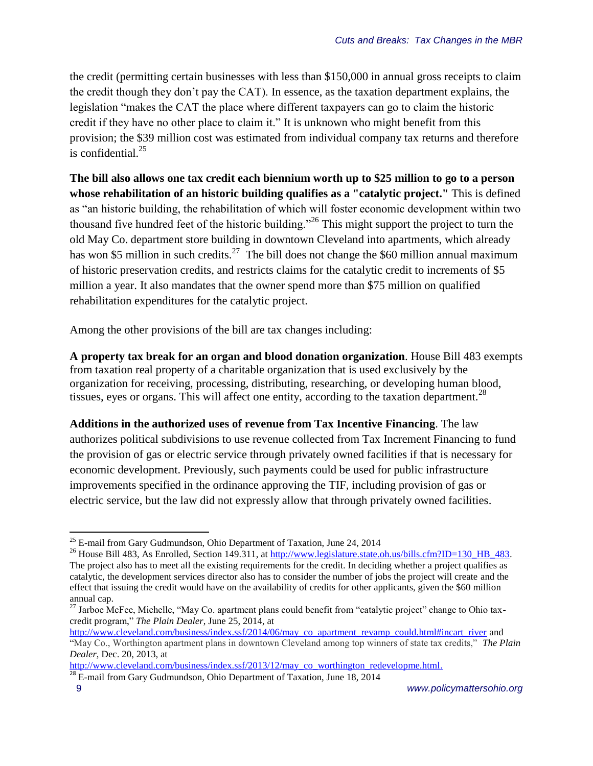the credit (permitting certain businesses with less than \$150,000 in annual gross receipts to claim the credit though they don't pay the CAT). In essence, as the taxation department explains, the legislation "makes the CAT the place where different taxpayers can go to claim the historic credit if they have no other place to claim it." It is unknown who might benefit from this provision; the \$39 million cost was estimated from individual company tax returns and therefore is confidential. $25$ 

**The bill also allows one tax credit each biennium worth up to \$25 million to go to a person whose rehabilitation of an historic building qualifies as a "catalytic project."** This is defined as "an historic building, the rehabilitation of which will foster economic development within two thousand five hundred feet of the historic building."<sup>26</sup> This might support the project to turn the old May Co. department store building in downtown Cleveland into apartments, which already has won \$5 million in such credits.<sup>27</sup> The bill does not change the \$60 million annual maximum of historic preservation credits, and restricts claims for the catalytic credit to increments of \$5 million a year. It also mandates that the owner spend more than \$75 million on qualified rehabilitation expenditures for the catalytic project.

Among the other provisions of the bill are tax changes including:

**A property tax break for an organ and blood donation organization**. House Bill 483 exempts from taxation real property of a charitable organization that is used exclusively by the organization for receiving, processing, distributing, researching, or developing human blood, tissues, eyes or organs. This will affect one entity, according to the taxation department.<sup>28</sup>

**Additions in the authorized uses of revenue from Tax Incentive Financing**. The law authorizes political subdivisions to use revenue collected from Tax Increment Financing to fund the provision of gas or electric service through privately owned facilities if that is necessary for economic development. Previously, such payments could be used for public infrastructure improvements specified in the ordinance approving the TIF, including provision of gas or electric service, but the law did not expressly allow that through privately owned facilities.

 $\overline{a}$ 

 $25$  E-mail from Gary Gudmundson, Ohio Department of Taxation, June 24, 2014

<sup>&</sup>lt;sup>26</sup> House Bill 483, As Enrolled, Section 149.311, at http://www.legislature.state.oh.us/bills.cfm?ID=130 HB 483. The project also has to meet all the existing requirements for the credit. In deciding whether a project qualifies as catalytic, the development services director also has to consider the number of jobs the project will create and the effect that issuing the credit would have on the availability of credits for other applicants, given the \$60 million annual cap.

<sup>&</sup>lt;sup>27</sup> Jarboe McFee, Michelle, "May Co. apartment plans could benefit from "catalytic project" change to Ohio taxcredit program," *The Plain Dealer*, June 25, 2014, at

[http://www.cleveland.com/business/index.ssf/2014/06/may\\_co\\_apartment\\_revamp\\_could.html#incart\\_river](http://www.cleveland.com/business/index.ssf/2014/06/may_co_apartment_revamp_could.html#incart_river) and "May Co., Worthington apartment plans in downtown Cleveland among top winners of state tax credits," *The Plain Dealer*, Dec. 20, 2013, at

[http://www.cleveland.com/business/index.ssf/2013/12/may\\_co\\_worthington\\_redevelopme.html.](http://www.cleveland.com/business/index.ssf/2013/12/may_co_worthington_redevelopme.html)

<sup>&</sup>lt;sup>28</sup> E-mail from Gary Gudmundson, Ohio Department of Taxation, June 18, 2014